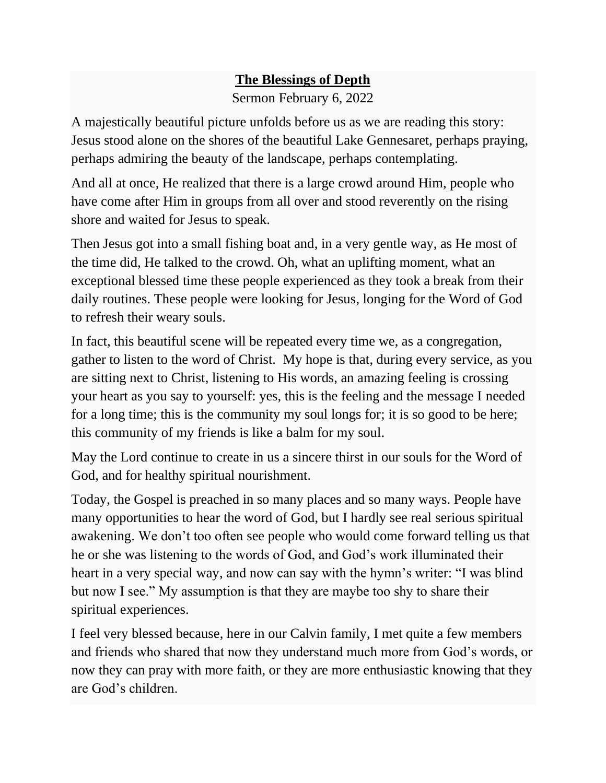## **The Blessings of Depth**

Sermon February 6, 2022

A majestically beautiful picture unfolds before us as we are reading this story: Jesus stood alone on the shores of the beautiful Lake Gennesaret, perhaps praying, perhaps admiring the beauty of the landscape, perhaps contemplating.

And all at once, He realized that there is a large crowd around Him, people who have come after Him in groups from all over and stood reverently on the rising shore and waited for Jesus to speak.

Then Jesus got into a small fishing boat and, in a very gentle way, as He most of the time did, He talked to the crowd. Oh, what an uplifting moment, what an exceptional blessed time these people experienced as they took a break from their daily routines. These people were looking for Jesus, longing for the Word of God to refresh their weary souls.

In fact, this beautiful scene will be repeated every time we, as a congregation, gather to listen to the word of Christ. My hope is that, during every service, as you are sitting next to Christ, listening to His words, an amazing feeling is crossing your heart as you say to yourself: yes, this is the feeling and the message I needed for a long time; this is the community my soul longs for; it is so good to be here; this community of my friends is like a balm for my soul.

May the Lord continue to create in us a sincere thirst in our souls for the Word of God, and for healthy spiritual nourishment.

Today, the Gospel is preached in so many places and so many ways. People have many opportunities to hear the word of God, but I hardly see real serious spiritual awakening. We don't too often see people who would come forward telling us that he or she was listening to the words of God, and God's work illuminated their heart in a very special way, and now can say with the hymn's writer: "I was blind but now I see." My assumption is that they are maybe too shy to share their spiritual experiences.

I feel very blessed because, here in our Calvin family, I met quite a few members and friends who shared that now they understand much more from God's words, or now they can pray with more faith, or they are more enthusiastic knowing that they are God's children.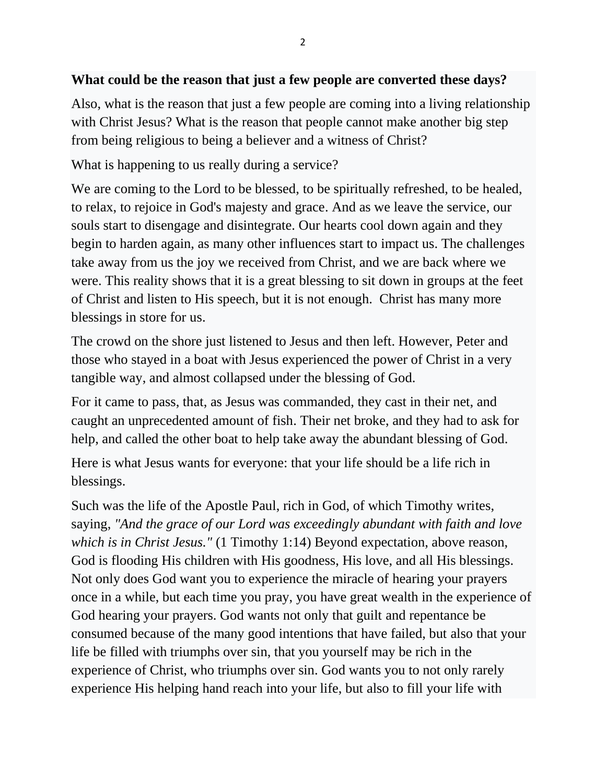## **What could be the reason that just a few people are converted these days?**

Also, what is the reason that just a few people are coming into a living relationship with Christ Jesus? What is the reason that people cannot make another big step from being religious to being a believer and a witness of Christ?

What is happening to us really during a service?

We are coming to the Lord to be blessed, to be spiritually refreshed, to be healed, to relax, to rejoice in God's majesty and grace. And as we leave the service, our souls start to disengage and disintegrate. Our hearts cool down again and they begin to harden again, as many other influences start to impact us. The challenges take away from us the joy we received from Christ, and we are back where we were. This reality shows that it is a great blessing to sit down in groups at the feet of Christ and listen to His speech, but it is not enough. Christ has many more blessings in store for us.

The crowd on the shore just listened to Jesus and then left. However, Peter and those who stayed in a boat with Jesus experienced the power of Christ in a very tangible way, and almost collapsed under the blessing of God.

For it came to pass, that, as Jesus was commanded, they cast in their net, and caught an unprecedented amount of fish. Their net broke, and they had to ask for help, and called the other boat to help take away the abundant blessing of God.

Here is what Jesus wants for everyone: that your life should be a life rich in blessings.

Such was the life of the Apostle Paul, rich in God, of which Timothy writes, saying, *"And the grace of our Lord was exceedingly abundant with faith and love which is in Christ Jesus."* (1 Timothy 1:14) Beyond expectation, above reason, God is flooding His children with His goodness, His love, and all His blessings. Not only does God want you to experience the miracle of hearing your prayers once in a while, but each time you pray, you have great wealth in the experience of God hearing your prayers. God wants not only that guilt and repentance be consumed because of the many good intentions that have failed, but also that your life be filled with triumphs over sin, that you yourself may be rich in the experience of Christ, who triumphs over sin. God wants you to not only rarely experience His helping hand reach into your life, but also to fill your life with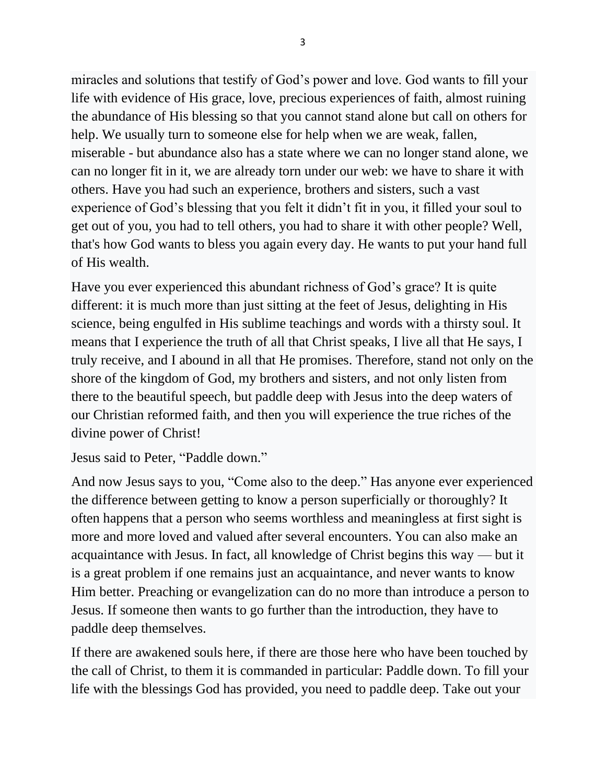miracles and solutions that testify of God's power and love. God wants to fill your life with evidence of His grace, love, precious experiences of faith, almost ruining the abundance of His blessing so that you cannot stand alone but call on others for help. We usually turn to someone else for help when we are weak, fallen, miserable - but abundance also has a state where we can no longer stand alone, we can no longer fit in it, we are already torn under our web: we have to share it with others. Have you had such an experience, brothers and sisters, such a vast experience of God's blessing that you felt it didn't fit in you, it filled your soul to get out of you, you had to tell others, you had to share it with other people? Well, that's how God wants to bless you again every day. He wants to put your hand full of His wealth.

Have you ever experienced this abundant richness of God's grace? It is quite different: it is much more than just sitting at the feet of Jesus, delighting in His science, being engulfed in His sublime teachings and words with a thirsty soul. It means that I experience the truth of all that Christ speaks, I live all that He says, I truly receive, and I abound in all that He promises. Therefore, stand not only on the shore of the kingdom of God, my brothers and sisters, and not only listen from there to the beautiful speech, but paddle deep with Jesus into the deep waters of our Christian reformed faith, and then you will experience the true riches of the divine power of Christ!

Jesus said to Peter, "Paddle down."

And now Jesus says to you, "Come also to the deep." Has anyone ever experienced the difference between getting to know a person superficially or thoroughly? It often happens that a person who seems worthless and meaningless at first sight is more and more loved and valued after several encounters. You can also make an acquaintance with Jesus. In fact, all knowledge of Christ begins this way — but it is a great problem if one remains just an acquaintance, and never wants to know Him better. Preaching or evangelization can do no more than introduce a person to Jesus. If someone then wants to go further than the introduction, they have to paddle deep themselves.

If there are awakened souls here, if there are those here who have been touched by the call of Christ, to them it is commanded in particular: Paddle down. To fill your life with the blessings God has provided, you need to paddle deep. Take out your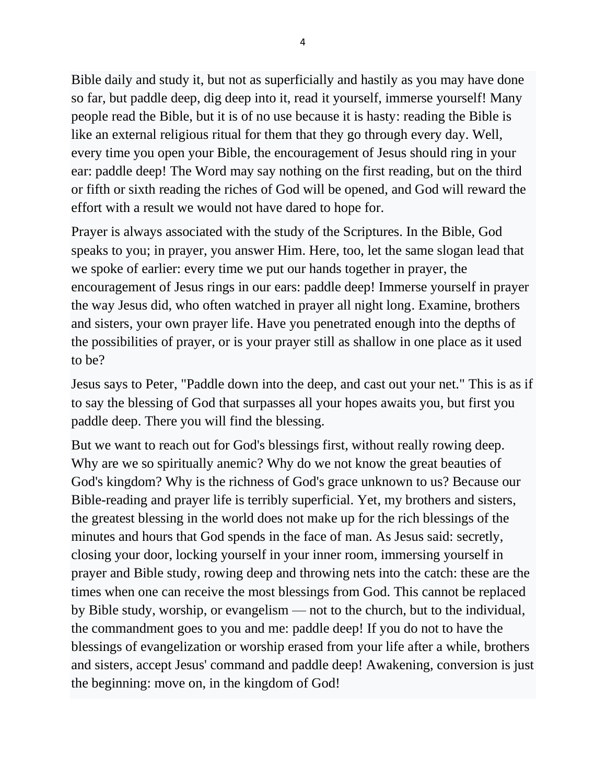Bible daily and study it, but not as superficially and hastily as you may have done so far, but paddle deep, dig deep into it, read it yourself, immerse yourself! Many people read the Bible, but it is of no use because it is hasty: reading the Bible is like an external religious ritual for them that they go through every day. Well, every time you open your Bible, the encouragement of Jesus should ring in your ear: paddle deep! The Word may say nothing on the first reading, but on the third or fifth or sixth reading the riches of God will be opened, and God will reward the effort with a result we would not have dared to hope for.

Prayer is always associated with the study of the Scriptures. In the Bible, God speaks to you; in prayer, you answer Him. Here, too, let the same slogan lead that we spoke of earlier: every time we put our hands together in prayer, the encouragement of Jesus rings in our ears: paddle deep! Immerse yourself in prayer the way Jesus did, who often watched in prayer all night long. Examine, brothers and sisters, your own prayer life. Have you penetrated enough into the depths of the possibilities of prayer, or is your prayer still as shallow in one place as it used to be?

Jesus says to Peter, "Paddle down into the deep, and cast out your net." This is as if to say the blessing of God that surpasses all your hopes awaits you, but first you paddle deep. There you will find the blessing.

But we want to reach out for God's blessings first, without really rowing deep. Why are we so spiritually anemic? Why do we not know the great beauties of God's kingdom? Why is the richness of God's grace unknown to us? Because our Bible-reading and prayer life is terribly superficial. Yet, my brothers and sisters, the greatest blessing in the world does not make up for the rich blessings of the minutes and hours that God spends in the face of man. As Jesus said: secretly, closing your door, locking yourself in your inner room, immersing yourself in prayer and Bible study, rowing deep and throwing nets into the catch: these are the times when one can receive the most blessings from God. This cannot be replaced by Bible study, worship, or evangelism — not to the church, but to the individual, the commandment goes to you and me: paddle deep! If you do not to have the blessings of evangelization or worship erased from your life after a while, brothers and sisters, accept Jesus' command and paddle deep! Awakening, conversion is just the beginning: move on, in the kingdom of God!